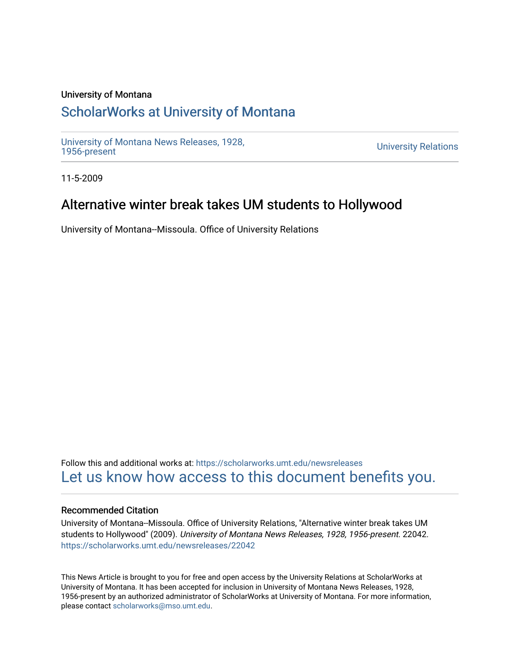#### University of Montana

## [ScholarWorks at University of Montana](https://scholarworks.umt.edu/)

[University of Montana News Releases, 1928,](https://scholarworks.umt.edu/newsreleases) 

**University Relations** 

11-5-2009

## Alternative winter break takes UM students to Hollywood

University of Montana--Missoula. Office of University Relations

Follow this and additional works at: [https://scholarworks.umt.edu/newsreleases](https://scholarworks.umt.edu/newsreleases?utm_source=scholarworks.umt.edu%2Fnewsreleases%2F22042&utm_medium=PDF&utm_campaign=PDFCoverPages) [Let us know how access to this document benefits you.](https://goo.gl/forms/s2rGfXOLzz71qgsB2) 

#### Recommended Citation

University of Montana--Missoula. Office of University Relations, "Alternative winter break takes UM students to Hollywood" (2009). University of Montana News Releases, 1928, 1956-present. 22042. [https://scholarworks.umt.edu/newsreleases/22042](https://scholarworks.umt.edu/newsreleases/22042?utm_source=scholarworks.umt.edu%2Fnewsreleases%2F22042&utm_medium=PDF&utm_campaign=PDFCoverPages) 

This News Article is brought to you for free and open access by the University Relations at ScholarWorks at University of Montana. It has been accepted for inclusion in University of Montana News Releases, 1928, 1956-present by an authorized administrator of ScholarWorks at University of Montana. For more information, please contact [scholarworks@mso.umt.edu.](mailto:scholarworks@mso.umt.edu)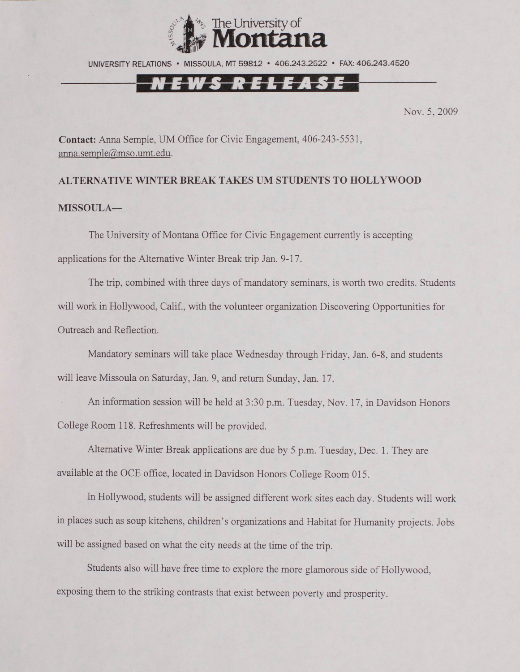

UNIVERSITY RELATIONS • MISSOULA. MT 59812 • 406.243.2522 • FAX: 406.243.4520

## EWS RELEASE

Nov. 5, 2009

**Contact:** Anna Semple, UM Office for Civic Engagement, 406-243-5531, [anna.semple@mso.umt.edu.](mailto:anna.semple@mso.umt.edu)

# **ALTERNATIVE WINTER BREAK TAKES UM STUDENTS TO HOLLYWOOD MISSOULA—**

The University of Montana Office for Civic Engagement currently is accepting applications for the Alternative Winter Break trip Jan. 9-17.

The trip, combined with three days of mandatory seminars, is worth two credits. Students will work in Hollywood, Calif., with the volunteer organization Discovering Opportunities for Outreach and Reflection.

Mandatory seminars will take place Wednesday through Friday, Jan. 6-8, and students will leave Missoula on Saturday, Jan. 9, and return Sunday, Jan. 17.

An information session will be held at 3:30 p.m. Tuesday, Nov. 17, in Davidson Honors College Room 118. Refreshments will be provided.

Alternative Winter Break applications are due by 5 p.m. Tuesday, Dec. 1. They are available at the OCE office, located in Davidson Flonors College Room 015.

In Hollywood, students will be assigned different work sites each day. Students will work in places such as soup kitchens, children's organizations and Habitat for Humanity projects. Jobs will be assigned based on what the city needs at the time of the trip.

Students also will have free time to explore the more glamorous side of Hollywood, exposing them to the striking contrasts that exist between poverty and prosperity.